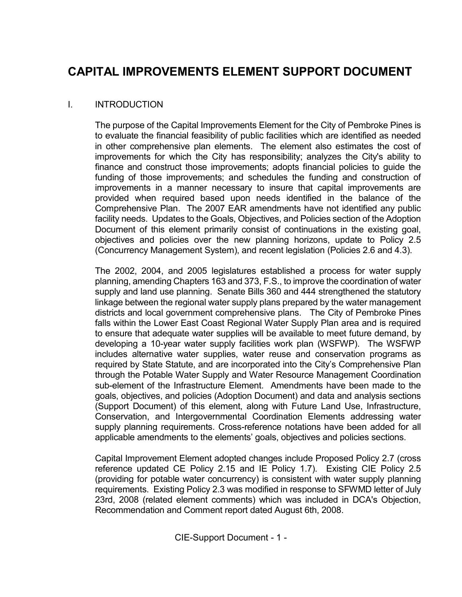# CAPITAL IMPROVEMENTS ELEMENT SUPPORT DOCUMENT

## I. INTRODUCTION

 The purpose of the Capital Improvements Element for the City of Pembroke Pines is to evaluate the financial feasibility of public facilities which are identified as needed in other comprehensive plan elements. The element also estimates the cost of improvements for which the City has responsibility; analyzes the City's ability to finance and construct those improvements; adopts financial policies to guide the funding of those improvements; and schedules the funding and construction of improvements in a manner necessary to insure that capital improvements are provided when required based upon needs identified in the balance of the Comprehensive Plan. The 2007 EAR amendments have not identified any public facility needs. Updates to the Goals, Objectives, and Policies section of the Adoption Document of this element primarily consist of continuations in the existing goal, objectives and policies over the new planning horizons, update to Policy 2.5 (Concurrency Management System), and recent legislation (Policies 2.6 and 4.3).

The 2002, 2004, and 2005 legislatures established a process for water supply planning, amending Chapters 163 and 373, F.S., to improve the coordination of water supply and land use planning. Senate Bills 360 and 444 strengthened the statutory linkage between the regional water supply plans prepared by the water management districts and local government comprehensive plans. The City of Pembroke Pines falls within the Lower East Coast Regional Water Supply Plan area and is required to ensure that adequate water supplies will be available to meet future demand, by developing a 10-year water supply facilities work plan (WSFWP). The WSFWP includes alternative water supplies, water reuse and conservation programs as required by State Statute, and are incorporated into the City's Comprehensive Plan through the Potable Water Supply and Water Resource Management Coordination sub-element of the Infrastructure Element. Amendments have been made to the goals, objectives, and policies (Adoption Document) and data and analysis sections (Support Document) of this element, along with Future Land Use, Infrastructure, Conservation, and Intergovernmental Coordination Elements addressing water supply planning requirements. Cross-reference notations have been added for all applicable amendments to the elements' goals, objectives and policies sections.

Capital Improvement Element adopted changes include Proposed Policy 2.7 (cross reference updated CE Policy 2.15 and IE Policy 1.7). Existing CIE Policy 2.5 (providing for potable water concurrency) is consistent with water supply planning requirements. Existing Policy 2.3 was modified in response to SFWMD letter of July 23rd, 2008 (related element comments) which was included in DCA's Objection, Recommendation and Comment report dated August 6th, 2008.

CIE-Support Document - 1 -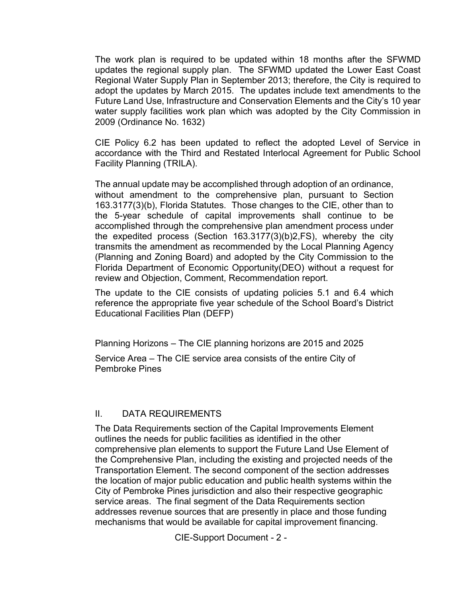The work plan is required to be updated within 18 months after the SFWMD updates the regional supply plan. The SFWMD updated the Lower East Coast Regional Water Supply Plan in September 2013; therefore, the City is required to adopt the updates by March 2015. The updates include text amendments to the Future Land Use, Infrastructure and Conservation Elements and the City's 10 year water supply facilities work plan which was adopted by the City Commission in 2009 (Ordinance No. 1632)

CIE Policy 6.2 has been updated to reflect the adopted Level of Service in accordance with the Third and Restated Interlocal Agreement for Public School Facility Planning (TRILA).

The annual update may be accomplished through adoption of an ordinance, without amendment to the comprehensive plan, pursuant to Section 163.3177(3)(b), Florida Statutes. Those changes to the CIE, other than to the 5-year schedule of capital improvements shall continue to be accomplished through the comprehensive plan amendment process under the expedited process (Section 163.3177(3)(b)2,FS), whereby the city transmits the amendment as recommended by the Local Planning Agency (Planning and Zoning Board) and adopted by the City Commission to the Florida Department of Economic Opportunity(DEO) without a request for review and Objection, Comment, Recommendation report.

The update to the CIE consists of updating policies 5.1 and 6.4 which reference the appropriate five year schedule of the School Board's District Educational Facilities Plan (DEFP)

Planning Horizons – The CIE planning horizons are 2015 and 2025

 Service Area – The CIE service area consists of the entire City of Pembroke Pines

# II. DATA REQUIREMENTS

The Data Requirements section of the Capital Improvements Element outlines the needs for public facilities as identified in the other comprehensive plan elements to support the Future Land Use Element of the Comprehensive Plan, including the existing and projected needs of the Transportation Element. The second component of the section addresses the location of major public education and public health systems within the City of Pembroke Pines jurisdiction and also their respective geographic service areas. The final segment of the Data Requirements section addresses revenue sources that are presently in place and those funding mechanisms that would be available for capital improvement financing.

CIE-Support Document - 2 -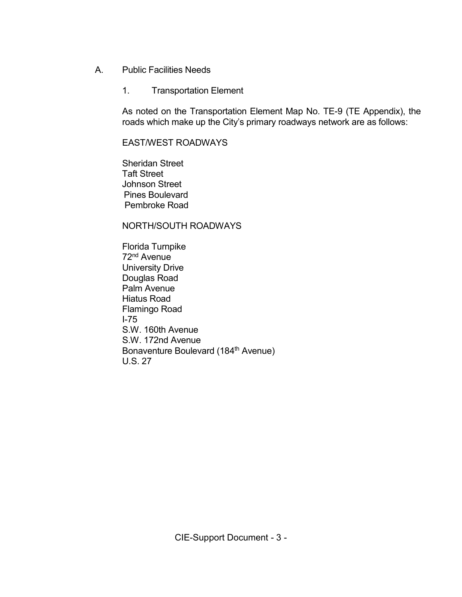- A. Public Facilities Needs
	- 1. Transportation Element

 As noted on the Transportation Element Map No. TE-9 (TE Appendix), the roads which make up the City's primary roadways network are as follows:

## EAST/WEST ROADWAYS

 Sheridan Street Taft Street Johnson Street Pines Boulevard Pembroke Road

## NORTH/SOUTH ROADWAYS

 Florida Turnpike 72nd Avenue University Drive Douglas Road Palm Avenue Hiatus Road Flamingo Road I-75 S.W. 160th Avenue S.W. 172nd Avenue Bonaventure Boulevard (184th Avenue) U.S. 27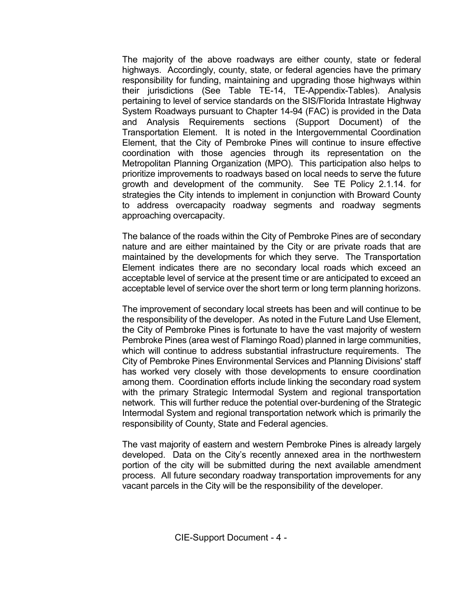The majority of the above roadways are either county, state or federal highways. Accordingly, county, state, or federal agencies have the primary responsibility for funding, maintaining and upgrading those highways within their jurisdictions (See Table TE-14, TE-Appendix-Tables). Analysis pertaining to level of service standards on the SIS/Florida Intrastate Highway System Roadways pursuant to Chapter 14-94 (FAC) is provided in the Data and Analysis Requirements sections (Support Document) of the Transportation Element. It is noted in the Intergovernmental Coordination Element, that the City of Pembroke Pines will continue to insure effective coordination with those agencies through its representation on the Metropolitan Planning Organization (MPO). This participation also helps to prioritize improvements to roadways based on local needs to serve the future growth and development of the community. See TE Policy 2.1.14. for strategies the City intends to implement in conjunction with Broward County to address overcapacity roadway segments and roadway segments approaching overcapacity.

 The balance of the roads within the City of Pembroke Pines are of secondary nature and are either maintained by the City or are private roads that are maintained by the developments for which they serve. The Transportation Element indicates there are no secondary local roads which exceed an acceptable level of service at the present time or are anticipated to exceed an acceptable level of service over the short term or long term planning horizons.

 The improvement of secondary local streets has been and will continue to be the responsibility of the developer. As noted in the Future Land Use Element, the City of Pembroke Pines is fortunate to have the vast majority of western Pembroke Pines (area west of Flamingo Road) planned in large communities, which will continue to address substantial infrastructure requirements. The City of Pembroke Pines Environmental Services and Planning Divisions' staff has worked very closely with those developments to ensure coordination among them. Coordination efforts include linking the secondary road system with the primary Strategic Intermodal System and regional transportation network. This will further reduce the potential over-burdening of the Strategic Intermodal System and regional transportation network which is primarily the responsibility of County, State and Federal agencies.

 The vast majority of eastern and western Pembroke Pines is already largely developed. Data on the City's recently annexed area in the northwestern portion of the city will be submitted during the next available amendment process. All future secondary roadway transportation improvements for any vacant parcels in the City will be the responsibility of the developer.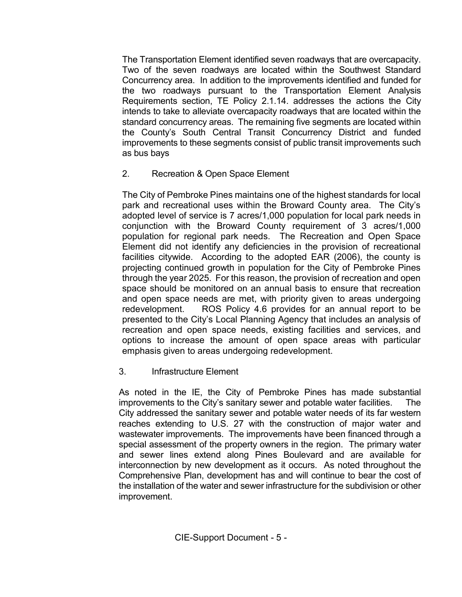The Transportation Element identified seven roadways that are overcapacity. Two of the seven roadways are located within the Southwest Standard Concurrency area. In addition to the improvements identified and funded for the two roadways pursuant to the Transportation Element Analysis Requirements section, TE Policy 2.1.14. addresses the actions the City intends to take to alleviate overcapacity roadways that are located within the standard concurrency areas. The remaining five segments are located within the County's South Central Transit Concurrency District and funded improvements to these segments consist of public transit improvements such as bus bays

2. Recreation & Open Space Element

The City of Pembroke Pines maintains one of the highest standards for local park and recreational uses within the Broward County area. The City's adopted level of service is 7 acres/1,000 population for local park needs in conjunction with the Broward County requirement of 3 acres/1,000 population for regional park needs. The Recreation and Open Space Element did not identify any deficiencies in the provision of recreational facilities citywide. According to the adopted EAR (2006), the county is projecting continued growth in population for the City of Pembroke Pines through the year 2025. For this reason, the provision of recreation and open space should be monitored on an annual basis to ensure that recreation and open space needs are met, with priority given to areas undergoing redevelopment. ROS Policy 4.6 provides for an annual report to be presented to the City's Local Planning Agency that includes an analysis of recreation and open space needs, existing facilities and services, and options to increase the amount of open space areas with particular emphasis given to areas undergoing redevelopment.

3. Infrastructure Element

 As noted in the IE, the City of Pembroke Pines has made substantial improvements to the City's sanitary sewer and potable water facilities. The City addressed the sanitary sewer and potable water needs of its far western reaches extending to U.S. 27 with the construction of major water and wastewater improvements. The improvements have been financed through a special assessment of the property owners in the region. The primary water and sewer lines extend along Pines Boulevard and are available for interconnection by new development as it occurs. As noted throughout the Comprehensive Plan, development has and will continue to bear the cost of the installation of the water and sewer infrastructure for the subdivision or other improvement.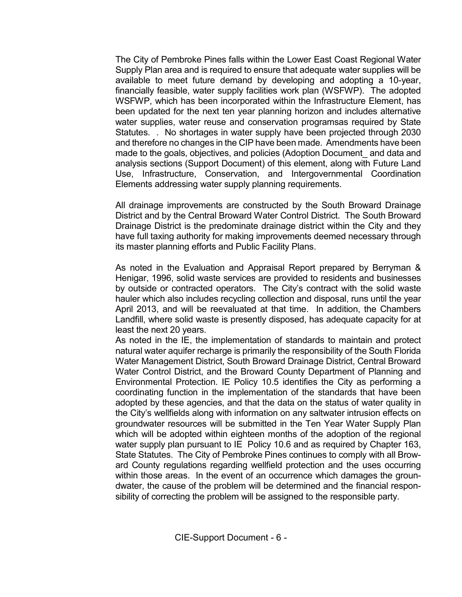The City of Pembroke Pines falls within the Lower East Coast Regional Water Supply Plan area and is required to ensure that adequate water supplies will be available to meet future demand by developing and adopting a 10-year, financially feasible, water supply facilities work plan (WSFWP). The adopted WSFWP, which has been incorporated within the Infrastructure Element, has been updated for the next ten year planning horizon and includes alternative water supplies, water reuse and conservation programsas required by State Statutes. . No shortages in water supply have been projected through 2030 and therefore no changes in the CIP have been made. Amendments have been made to the goals, objectives, and policies (Adoption Document and data and analysis sections (Support Document) of this element, along with Future Land Use, Infrastructure, Conservation, and Intergovernmental Coordination Elements addressing water supply planning requirements.

All drainage improvements are constructed by the South Broward Drainage District and by the Central Broward Water Control District. The South Broward Drainage District is the predominate drainage district within the City and they have full taxing authority for making improvements deemed necessary through its master planning efforts and Public Facility Plans.

As noted in the Evaluation and Appraisal Report prepared by Berryman & Henigar, 1996, solid waste services are provided to residents and businesses by outside or contracted operators. The City's contract with the solid waste hauler which also includes recycling collection and disposal, runs until the year April 2013, and will be reevaluated at that time. In addition, the Chambers Landfill, where solid waste is presently disposed, has adequate capacity for at least the next 20 years.

As noted in the IE, the implementation of standards to maintain and protect natural water aquifer recharge is primarily the responsibility of the South Florida Water Management District, South Broward Drainage District, Central Broward Water Control District, and the Broward County Department of Planning and Environmental Protection. IE Policy 10.5 identifies the City as performing a coordinating function in the implementation of the standards that have been adopted by these agencies, and that the data on the status of water quality in the City's wellfields along with information on any saltwater intrusion effects on groundwater resources will be submitted in the Ten Year Water Supply Plan which will be adopted within eighteen months of the adoption of the regional water supply plan pursuant to IE Policy 10.6 and as required by Chapter 163, State Statutes. The City of Pembroke Pines continues to comply with all Broward County regulations regarding wellfield protection and the uses occurring within those areas. In the event of an occurrence which damages the groundwater, the cause of the problem will be determined and the financial responsibility of correcting the problem will be assigned to the responsible party.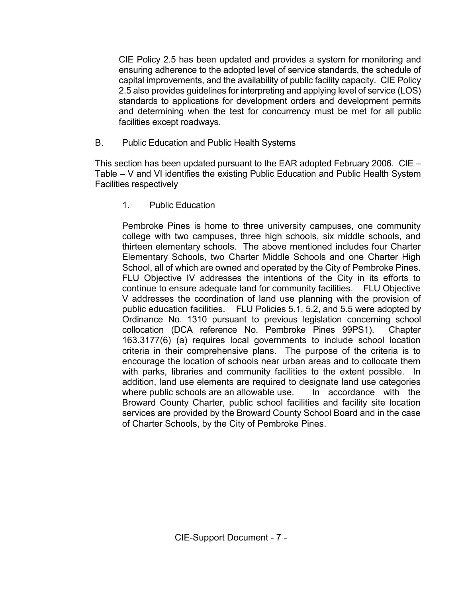CIE Policy 2.5 has been updated and provides a system for monitoring and ensuring adherence to the adopted level of service standards, the schedule of capital improvements, and the availability of public facility capacity. CIE Policy 2.5 also provides guidelines for interpreting and applying level of service (LOS) standards to applications for development orders and development permits and determining when the test for concurrency must be met for all public facilities except roadways.

B. Public Education and Public Health Systems

 This section has been updated pursuant to the EAR adopted February 2006. CIE – Table – V and VI identifies the existing Public Education and Public Health System Facilities respectively

1. Public Education

Pembroke Pines is home to three university campuses, one community college with two campuses, three high schools, six middle schools, and thirteen elementary schools. The above mentioned includes four Charter Elementary Schools, two Charter Middle Schools and one Charter High School, all of which are owned and operated by the City of Pembroke Pines. FLU Objective IV addresses the intentions of the City in its efforts to continue to ensure adequate land for community facilities. FLU Objective V addresses the coordination of land use planning with the provision of public education facilities. FLU Policies 5.1, 5.2, and 5.5 were adopted by Ordinance No. 1310 pursuant to previous legislation concerning school collocation (DCA reference No. Pembroke Pines 99PS1). Chapter 163.3177(6) (a) requires local governments to include school location criteria in their comprehensive plans. The purpose of the criteria is to encourage the location of schools near urban areas and to collocate them with parks, libraries and community facilities to the extent possible. In addition, land use elements are required to designate land use categories where public schools are an allowable use. In accordance with the Broward County Charter, public school facilities and facility site location services are provided by the Broward County School Board and in the case of Charter Schools, by the City of Pembroke Pines.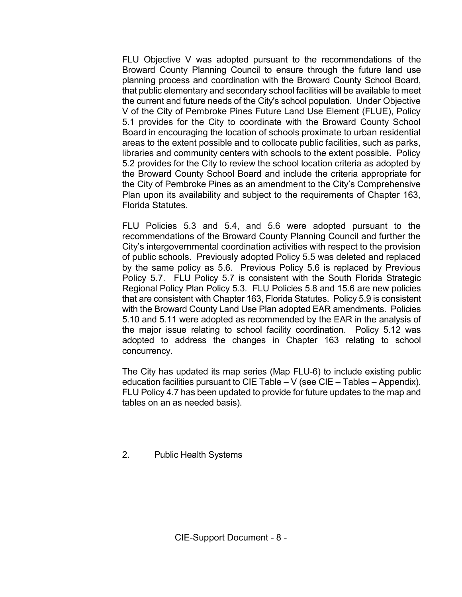FLU Objective V was adopted pursuant to the recommendations of the Broward County Planning Council to ensure through the future land use planning process and coordination with the Broward County School Board, that public elementary and secondary school facilities will be available to meet the current and future needs of the City's school population. Under Objective V of the City of Pembroke Pines Future Land Use Element (FLUE), Policy 5.1 provides for the City to coordinate with the Broward County School Board in encouraging the location of schools proximate to urban residential areas to the extent possible and to collocate public facilities, such as parks, libraries and community centers with schools to the extent possible. Policy 5.2 provides for the City to review the school location criteria as adopted by the Broward County School Board and include the criteria appropriate for the City of Pembroke Pines as an amendment to the City's Comprehensive Plan upon its availability and subject to the requirements of Chapter 163, Florida Statutes.

FLU Policies 5.3 and 5.4, and 5.6 were adopted pursuant to the recommendations of the Broward County Planning Council and further the City's intergovernmental coordination activities with respect to the provision of public schools. Previously adopted Policy 5.5 was deleted and replaced by the same policy as 5.6. Previous Policy 5.6 is replaced by Previous Policy 5.7. FLU Policy 5.7 is consistent with the South Florida Strategic Regional Policy Plan Policy 5.3. FLU Policies 5.8 and 15.6 are new policies that are consistent with Chapter 163, Florida Statutes. Policy 5.9 is consistent with the Broward County Land Use Plan adopted EAR amendments. Policies 5.10 and 5.11 were adopted as recommended by the EAR in the analysis of the major issue relating to school facility coordination. Policy 5.12 was adopted to address the changes in Chapter 163 relating to school concurrency.

 The City has updated its map series (Map FLU-6) to include existing public education facilities pursuant to CIE Table – V (see CIE – Tables – Appendix). FLU Policy 4.7 has been updated to provide for future updates to the map and tables on an as needed basis).

2. Public Health Systems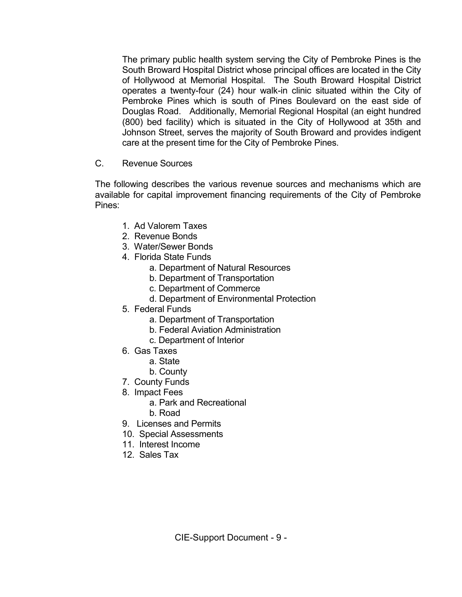The primary public health system serving the City of Pembroke Pines is the South Broward Hospital District whose principal offices are located in the City of Hollywood at Memorial Hospital. The South Broward Hospital District operates a twenty-four (24) hour walk-in clinic situated within the City of Pembroke Pines which is south of Pines Boulevard on the east side of Douglas Road. Additionally, Memorial Regional Hospital (an eight hundred (800) bed facility) which is situated in the City of Hollywood at 35th and Johnson Street, serves the majority of South Broward and provides indigent care at the present time for the City of Pembroke Pines.

C. Revenue Sources

 The following describes the various revenue sources and mechanisms which are available for capital improvement financing requirements of the City of Pembroke Pines:

- 1. Ad Valorem Taxes
- 2. Revenue Bonds
- 3. Water/Sewer Bonds
- 4. Florida State Funds
	- a. Department of Natural Resources
	- b. Department of Transportation
	- c. Department of Commerce
	- d. Department of Environmental Protection
- 5. Federal Funds
	- a. Department of Transportation
	- b. Federal Aviation Administration
	- c. Department of Interior
- 6. Gas Taxes
	- a. State
	- b. County
- 7. County Funds
- 8. Impact Fees
	- a. Park and Recreational
	- b. Road
- 9. Licenses and Permits
- 10. Special Assessments
- 11. Interest Income
- 12. Sales Tax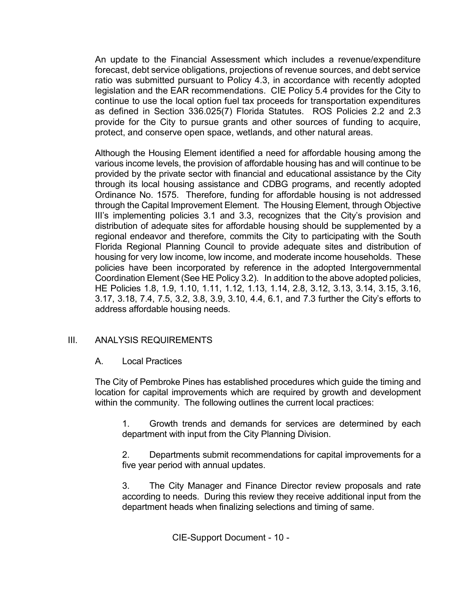An update to the Financial Assessment which includes a revenue/expenditure forecast, debt service obligations, projections of revenue sources, and debt service ratio was submitted pursuant to Policy 4.3, in accordance with recently adopted legislation and the EAR recommendations. CIE Policy 5.4 provides for the City to continue to use the local option fuel tax proceeds for transportation expenditures as defined in Section 336.025(7) Florida Statutes. ROS Policies 2.2 and 2.3 provide for the City to pursue grants and other sources of funding to acquire, protect, and conserve open space, wetlands, and other natural areas.

Although the Housing Element identified a need for affordable housing among the various income levels, the provision of affordable housing has and will continue to be provided by the private sector with financial and educational assistance by the City through its local housing assistance and CDBG programs, and recently adopted Ordinance No. 1575. Therefore, funding for affordable housing is not addressed through the Capital Improvement Element. The Housing Element, through Objective III's implementing policies 3.1 and 3.3, recognizes that the City's provision and distribution of adequate sites for affordable housing should be supplemented by a regional endeavor and therefore, commits the City to participating with the South Florida Regional Planning Council to provide adequate sites and distribution of housing for very low income, low income, and moderate income households. These policies have been incorporated by reference in the adopted Intergovernmental Coordination Element (See HE Policy 3.2). In addition to the above adopted policies, HE Policies 1.8, 1.9, 1.10, 1.11, 1.12, 1.13, 1.14, 2.8, 3.12, 3.13, 3.14, 3.15, 3.16, 3.17, 3.18, 7.4, 7.5, 3.2, 3.8, 3.9, 3.10, 4.4, 6.1, and 7.3 further the City's efforts to address affordable housing needs.

# III. ANALYSIS REQUIREMENTS

A. Local Practices

 The City of Pembroke Pines has established procedures which guide the timing and location for capital improvements which are required by growth and development within the community. The following outlines the current local practices:

 1. Growth trends and demands for services are determined by each department with input from the City Planning Division.

 2. Departments submit recommendations for capital improvements for a five year period with annual updates.

 3. The City Manager and Finance Director review proposals and rate according to needs. During this review they receive additional input from the department heads when finalizing selections and timing of same.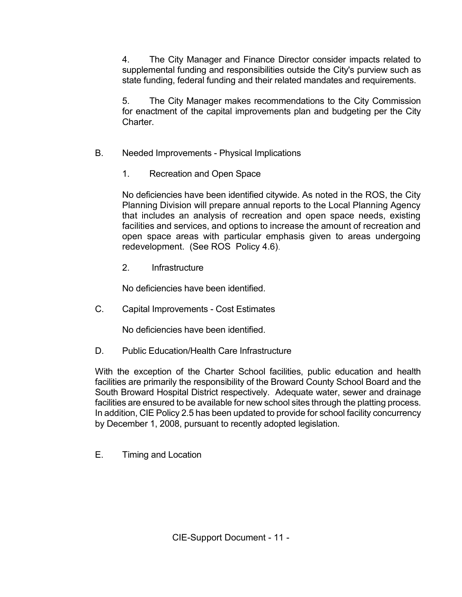4. The City Manager and Finance Director consider impacts related to supplemental funding and responsibilities outside the City's purview such as state funding, federal funding and their related mandates and requirements.

 5. The City Manager makes recommendations to the City Commission for enactment of the capital improvements plan and budgeting per the City Charter.

- B. Needed Improvements Physical Implications
	- 1. Recreation and Open Space

 No deficiencies have been identified citywide. As noted in the ROS, the City Planning Division will prepare annual reports to the Local Planning Agency that includes an analysis of recreation and open space needs, existing facilities and services, and options to increase the amount of recreation and open space areas with particular emphasis given to areas undergoing redevelopment. (See ROS Policy 4.6).

2. Infrastructure

No deficiencies have been identified.

C. Capital Improvements - Cost Estimates

No deficiencies have been identified.

D. Public Education/Health Care Infrastructure

 With the exception of the Charter School facilities, public education and health facilities are primarily the responsibility of the Broward County School Board and the South Broward Hospital District respectively. Adequate water, sewer and drainage facilities are ensured to be available for new school sites through the platting process. In addition, CIE Policy 2.5 has been updated to provide for school facility concurrency by December 1, 2008, pursuant to recently adopted legislation.

E. Timing and Location